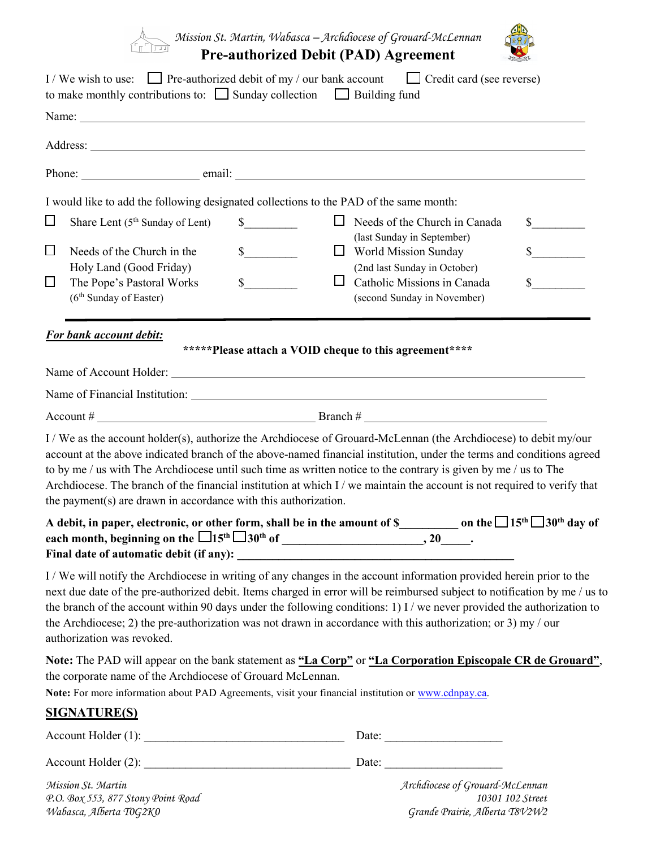*Mission St. Martin, Wabasca – Archdiocese of Grouard-McLennan*

## **Pre-authorized Debit (PAD) Agreement**



|                  | I/We wish to use: Pre-authorized debit of my / our bank account $\Box$ Credit card (see reverse)<br>to make monthly contributions to: $\Box$ Sunday collection $\Box$ Building fund                                                                                                                                                                                                                                                                                                                                       |                                                        |                                                                                                                          |                             |
|------------------|---------------------------------------------------------------------------------------------------------------------------------------------------------------------------------------------------------------------------------------------------------------------------------------------------------------------------------------------------------------------------------------------------------------------------------------------------------------------------------------------------------------------------|--------------------------------------------------------|--------------------------------------------------------------------------------------------------------------------------|-----------------------------|
|                  |                                                                                                                                                                                                                                                                                                                                                                                                                                                                                                                           |                                                        |                                                                                                                          |                             |
|                  |                                                                                                                                                                                                                                                                                                                                                                                                                                                                                                                           |                                                        |                                                                                                                          |                             |
|                  |                                                                                                                                                                                                                                                                                                                                                                                                                                                                                                                           |                                                        |                                                                                                                          |                             |
|                  | I would like to add the following designated collections to the PAD of the same month:                                                                                                                                                                                                                                                                                                                                                                                                                                    |                                                        |                                                                                                                          |                             |
| $\Box$           | Share Lent (5 <sup>th</sup> Sunday of Lent)                                                                                                                                                                                                                                                                                                                                                                                                                                                                               | $\mathbb{S}$                                           | $\Box$ Needs of the Church in Canada                                                                                     | $\frac{\text{S}}{\text{S}}$ |
| $\Box$<br>$\Box$ | Needs of the Church in the<br>Holy Land (Good Friday)<br>The Pope's Pastoral Works                                                                                                                                                                                                                                                                                                                                                                                                                                        | $\frac{\sqrt{2}}{2}$<br>$s$ <sub>____</sub><br>Ш       | (last Sunday in September)<br>$\Box$ World Mission Sunday<br>(2nd last Sunday in October)<br>Catholic Missions in Canada | $\mathbb{S}$<br>$\sim$      |
|                  | (6 <sup>th</sup> Sunday of Easter)                                                                                                                                                                                                                                                                                                                                                                                                                                                                                        |                                                        | (second Sunday in November)                                                                                              |                             |
|                  | For bank account debit:                                                                                                                                                                                                                                                                                                                                                                                                                                                                                                   | *****Please attach a VOID cheque to this agreement**** |                                                                                                                          |                             |
|                  | Name of Financial Institution: 1986 and 2008 and 2008 and 2008 and 2008 and 2008 and 2008 and 2008 and 2008 and 2008 and 2008 and 2008 and 2008 and 2008 and 2008 and 2008 and 2008 and 2008 and 2008 and 2008 and 2008 and 20                                                                                                                                                                                                                                                                                            |                                                        |                                                                                                                          |                             |
|                  | account at the above indicated branch of the above-named financial institution, under the terms and conditions agreed<br>to by me / us with The Archdiocese until such time as written notice to the contrary is given by me / us to The<br>Archdiocese. The branch of the financial institution at which I / we maintain the account is not required to verify that<br>the payment(s) are drawn in accordance with this authorization.                                                                                   |                                                        |                                                                                                                          |                             |
|                  | A debit, in paper, electronic, or other form, shall be in the amount of \$___________ on the $\Box$ 15 <sup>th</sup> $\Box$ 30 <sup>th</sup> day of                                                                                                                                                                                                                                                                                                                                                                       |                                                        |                                                                                                                          |                             |
|                  | I/We will notify the Archdiocese in writing of any changes in the account information provided herein prior to the<br>next due date of the pre-authorized debit. Items charged in error will be reimbursed subject to notification by me / us to<br>the branch of the account within 90 days under the following conditions: 1) I / we never provided the authorization to<br>the Archdiocese; 2) the pre-authorization was not drawn in accordance with this authorization; or 3) my / our<br>authorization was revoked. |                                                        |                                                                                                                          |                             |
|                  | Note: The PAD will appear on the bank statement as "La Corp" or "La Corporation Episcopale CR de Grouard",<br>the corporate name of the Archdiocese of Grouard McLennan.<br>Note: For more information about PAD Agreements, visit your financial institution or www.cdnpay.ca.                                                                                                                                                                                                                                           |                                                        |                                                                                                                          |                             |
|                  | <b>SIGNATURE(S)</b>                                                                                                                                                                                                                                                                                                                                                                                                                                                                                                       |                                                        |                                                                                                                          |                             |
|                  |                                                                                                                                                                                                                                                                                                                                                                                                                                                                                                                           |                                                        |                                                                                                                          |                             |
|                  |                                                                                                                                                                                                                                                                                                                                                                                                                                                                                                                           |                                                        |                                                                                                                          |                             |
|                  | Mission St. Martin                                                                                                                                                                                                                                                                                                                                                                                                                                                                                                        |                                                        | Archdiocese of Grouard-McLennan                                                                                          |                             |

*P.O. Box 553, 877 Stony Point Road 10301 102 Street*

*Wabasca, Alberta T0G2K0 Grande Prairie, Alberta T8V2W2*